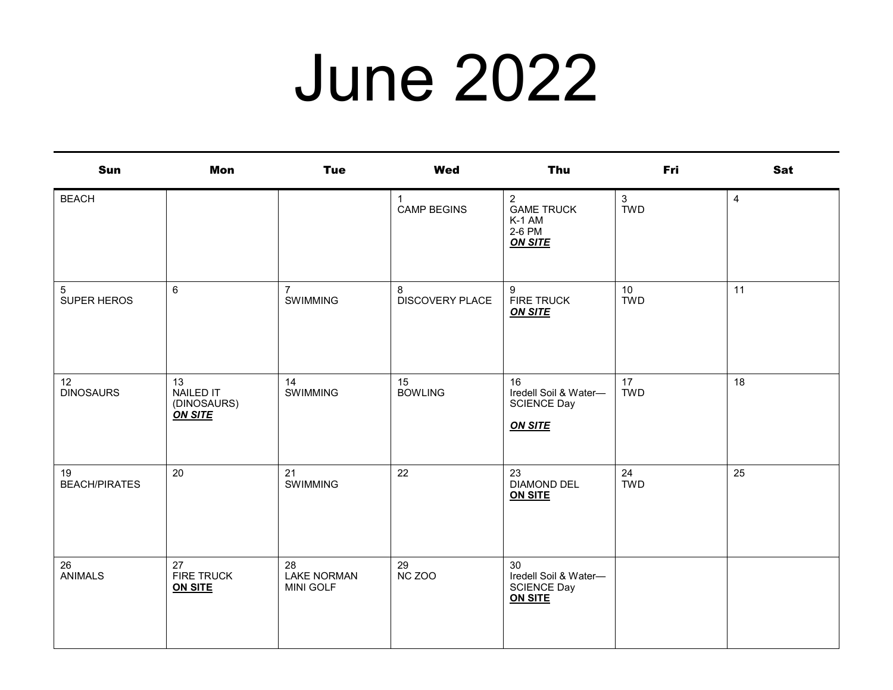## June 2022

| Sun                            | <b>Mon</b>                                              | <b>Tue</b>                                   | <b>Wed</b>                  | Thu                                                                       | Fri                        | Sat |
|--------------------------------|---------------------------------------------------------|----------------------------------------------|-----------------------------|---------------------------------------------------------------------------|----------------------------|-----|
| <b>BEACH</b>                   |                                                         |                                              | 1<br><b>CAMP BEGINS</b>     | $\overline{2}$<br><b>GAME TRUCK</b><br>K-1 AM<br>2-6 PM<br><b>ON SITE</b> | $\mathbf{3}$<br><b>TWD</b> | 4   |
| $5\phantom{.0}$<br>SUPER HEROS | $6\phantom{.}$                                          | $\overline{7}$<br><b>SWIMMING</b>            | 8<br><b>DISCOVERY PLACE</b> | 9<br><b>FIRE TRUCK</b><br><b>ON SITE</b>                                  | 10<br><b>TWD</b>           | 11  |
| 12<br><b>DINOSAURS</b>         | 13<br><b>NAILED IT</b><br>(DINOSAURS)<br><b>ON SITE</b> | 14<br><b>SWIMMING</b>                        | 15<br><b>BOWLING</b>        | 16<br>Iredell Soil & Water-<br><b>SCIENCE Day</b><br><b>ON SITE</b>       | 17<br><b>TWD</b>           | 18  |
| 19<br><b>BEACH/PIRATES</b>     | $20\,$                                                  | 21<br><b>SWIMMING</b>                        | 22                          | 23<br><b>DIAMOND DEL</b><br><b>ON SITE</b>                                | 24<br><b>TWD</b>           | 25  |
| 26<br>ANIMALS                  | 27<br><b>FIRE TRUCK</b><br><b>ON SITE</b>               | 28<br><b>LAKE NORMAN</b><br><b>MINI GOLF</b> | 29<br>NC ZOO                | 30<br>Iredell Soil & Water-<br><b>SCIENCE Day</b><br>ON SITE              |                            |     |